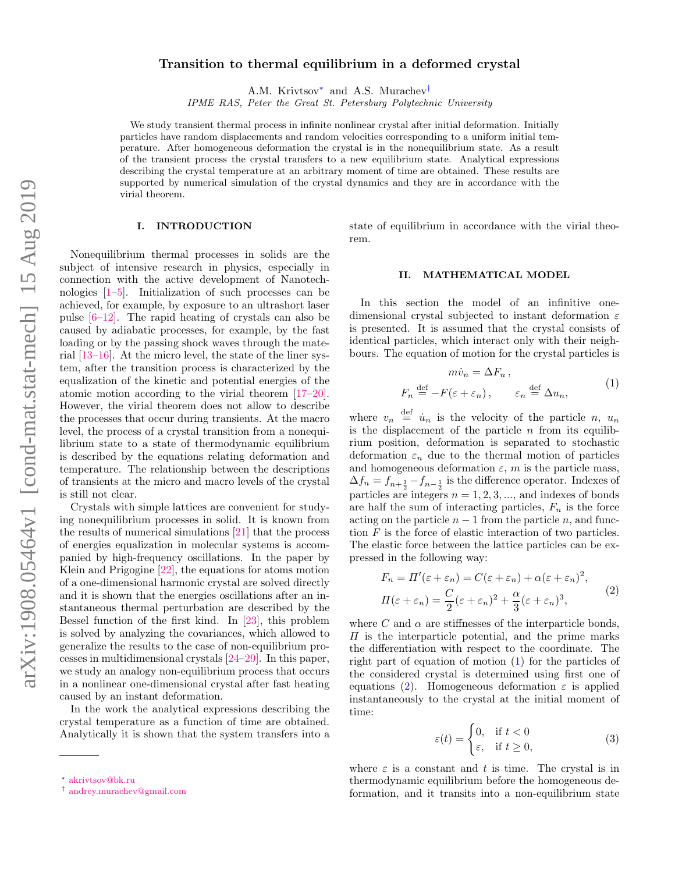# Transition to thermal equilibrium in a deformed crystal

A.M. Krivtsov[∗](#page-0-0) and A.S. Murachev[†](#page-0-1)

IPME RAS, Peter the Great St. Petersburg Polytechnic University

We study transient thermal process in infinite nonlinear crystal after initial deformation. Initially particles have random displacements and random velocities corresponding to a uniform initial temperature. After homogeneous deformation the crystal is in the nonequilibrium state. As a result of the transient process the crystal transfers to a new equilibrium state. Analytical expressions describing the crystal temperature at an arbitrary moment of time are obtained. These results are supported by numerical simulation of the crystal dynamics and they are in accordance with the virial theorem.

### I. INTRODUCTION

Nonequilibrium thermal processes in solids are the subject of intensive research in physics, especially in connection with the active development of Nanotechnologies [\[1](#page-3-0)[–5\]](#page-3-1). Initialization of such processes can be achieved, for example, by exposure to an ultrashort laser pulse [\[6](#page-3-2)[–12\]](#page-4-0). The rapid heating of crystals can also be caused by adiabatic processes, for example, by the fast loading or by the passing shock waves through the material [\[13](#page-4-1)[–16\]](#page-4-2). At the micro level, the state of the liner system, after the transition process is characterized by the equalization of the kinetic and potential energies of the atomic motion according to the virial theorem [\[17–](#page-4-3)[20\]](#page-4-4). However, the virial theorem does not allow to describe the processes that occur during transients. At the macro level, the process of a crystal transition from a nonequilibrium state to a state of thermodynamic equilibrium is described by the equations relating deformation and temperature. The relationship between the descriptions of transients at the micro and macro levels of the crystal is still not clear.

Crystals with simple lattices are convenient for studying nonequilibrium processes in solid. It is known from the results of numerical simulations [\[21\]](#page-4-5) that the process of energies equalization in molecular systems is accompanied by high-frequency oscillations. In the paper by Klein and Prigogine [\[22\]](#page-4-6), the equations for atoms motion of a one-dimensional harmonic crystal are solved directly and it is shown that the energies oscillations after an instantaneous thermal perturbation are described by the Bessel function of the first kind. In [\[23\]](#page-4-7), this problem is solved by analyzing the covariances, which allowed to generalize the results to the case of non-equilibrium processes in multidimensional crystals [\[24–](#page-4-8)[29\]](#page-4-9). In this paper, we study an analogy non-equilibrium process that occurs in a nonlinear one-dimensional crystal after fast heating caused by an instant deformation.

In the work the analytical expressions describing the crystal temperature as a function of time are obtained. Analytically it is shown that the system transfers into a state of equilibrium in accordance with the virial theorem.

### II. MATHEMATICAL MODEL

In this section the model of an infinitive onedimensional crystal subjected to instant deformation  $\varepsilon$ is presented. It is assumed that the crystal consists of identical particles, which interact only with their neighbours. The equation of motion for the crystal particles is

$$
m\dot{v}_n = \Delta F_n ,
$$
  
\n
$$
F_n \stackrel{\text{def}}{=} -F(\varepsilon + \varepsilon_n), \qquad \varepsilon_n \stackrel{\text{def}}{=} \Delta u_n,
$$
 (1)

<span id="page-0-2"></span>where  $v_n \stackrel{\text{def}}{=} \dot{u}_n$  is the velocity of the particle n,  $u_n$ is the displacement of the particle  $n$  from its equilibrium position, deformation is separated to stochastic deformation  $\varepsilon_n$  due to the thermal motion of particles and homogeneous deformation  $\varepsilon$ , m is the particle mass,  $\Delta f_n = f_{n+\frac{1}{2}} - f_{n-\frac{1}{2}}$  is the difference operator. Indexes of particles are integers  $n = 1, 2, 3, \dots$ , and indexes of bonds are half the sum of interacting particles,  $F_n$  is the force acting on the particle  $n-1$  from the particle n, and function  $F$  is the force of elastic interaction of two particles. The elastic force between the lattice particles can be expressed in the following way:

<span id="page-0-3"></span>
$$
F_n = \Pi'(\varepsilon + \varepsilon_n) = C(\varepsilon + \varepsilon_n) + \alpha(\varepsilon + \varepsilon_n)^2,
$$
  

$$
\Pi(\varepsilon + \varepsilon_n) = \frac{C}{2}(\varepsilon + \varepsilon_n)^2 + \frac{\alpha}{3}(\varepsilon + \varepsilon_n)^3,
$$
 (2)

where C and  $\alpha$  are stiffnesses of the interparticle bonds,  $\Pi$  is the interparticle potential, and the prime marks the differentiation with respect to the coordinate. The right part of equation of motion [\(1\)](#page-0-2) for the particles of the considered crystal is determined using first one of equations [\(2\)](#page-0-3). Homogeneous deformation  $\varepsilon$  is applied instantaneously to the crystal at the initial moment of time:

<span id="page-0-4"></span>
$$
\varepsilon(t) = \begin{cases} 0, & \text{if } t < 0 \\ \varepsilon, & \text{if } t \ge 0, \end{cases}
$$
 (3)

where  $\varepsilon$  is a constant and t is time. The crystal is in thermodynamic equilibrium before the homogeneous deformation, and it transits into a non-equilibrium state

<span id="page-0-0"></span><sup>∗</sup> [akrivtsov@bk.ru](mailto:akrivtsov@bk.ru)

<span id="page-0-1"></span><sup>†</sup> [andrey.murachev@gmail.com](mailto:andrey.murachev@gmail.com)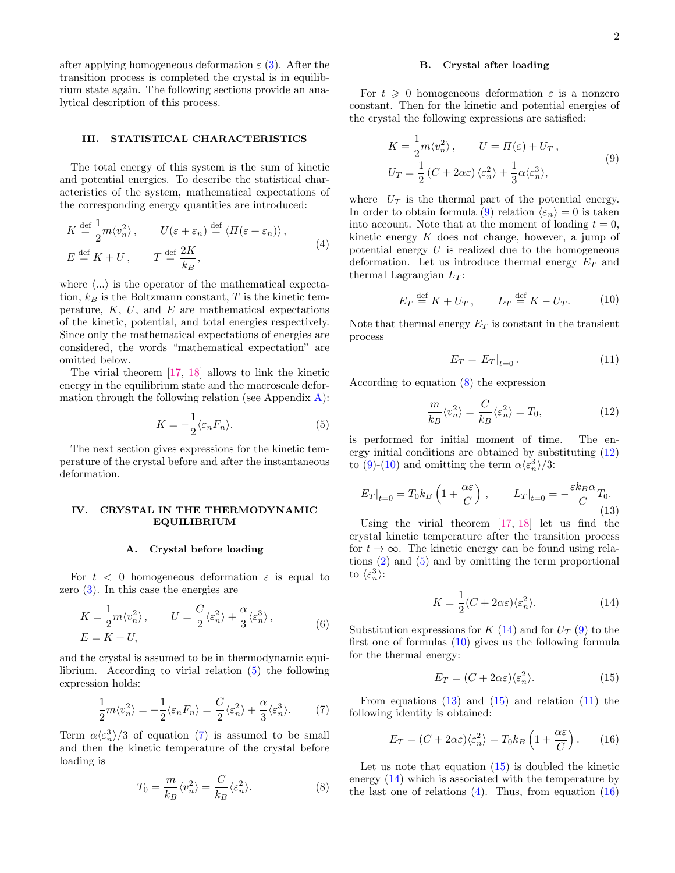after applying homogeneous deformation  $\varepsilon$  [\(3\)](#page-0-4). After the transition process is completed the crystal is in equilibrium state again. The following sections provide an analytical description of this process.

# III. STATISTICAL CHARACTERISTICS

The total energy of this system is the sum of kinetic and potential energies. To describe the statistical characteristics of the system, mathematical expectations of the corresponding energy quantities are introduced:

<span id="page-1-10"></span>
$$
K \stackrel{\text{def}}{=} \frac{1}{2} m \langle v_n^2 \rangle, \qquad U(\varepsilon + \varepsilon_n) \stackrel{\text{def}}{=} \langle \Pi(\varepsilon + \varepsilon_n) \rangle,
$$
  

$$
E \stackrel{\text{def}}{=} K + U, \qquad T \stackrel{\text{def}}{=} \frac{2K}{k_B},
$$
 (4)

where  $\langle \ldots \rangle$  is the operator of the mathematical expectation,  $k_B$  is the Boltzmann constant, T is the kinetic temperature,  $K$ ,  $U$ , and  $E$  are mathematical expectations of the kinetic, potential, and total energies respectively. Since only the mathematical expectations of energies are considered, the words "mathematical expectation" are omitted below.

The virial theorem [\[17,](#page-4-3) [18\]](#page-4-10) allows to link the kinetic energy in the equilibrium state and the macroscale deformation through the following relation (see Appendix  $\bf{A}$ ):

<span id="page-1-0"></span>
$$
K = -\frac{1}{2} \langle \varepsilon_n F_n \rangle.
$$
 (5)

The next section gives expressions for the kinetic temperature of the crystal before and after the instantaneous deformation.

# IV. CRYSTAL IN THE THERMODYNAMIC EQUILIBRIUM

### A. Crystal before loading

For  $t < 0$  homogeneous deformation  $\varepsilon$  is equal to zero [\(3\)](#page-0-4). In this case the energies are

$$
K = \frac{1}{2}m\langle v_n^2 \rangle, \qquad U = \frac{C}{2}\langle \varepsilon_n^2 \rangle + \frac{\alpha}{3}\langle \varepsilon_n^3 \rangle, E = K + U,
$$
 (6)

and the crystal is assumed to be in thermodynamic equilibrium. According to virial relation [\(5\)](#page-1-0) the following expression holds:

<span id="page-1-1"></span>
$$
\frac{1}{2}m\langle v_n^2 \rangle = -\frac{1}{2}\langle \varepsilon_n F_n \rangle = \frac{C}{2}\langle \varepsilon_n^2 \rangle + \frac{\alpha}{3}\langle \varepsilon_n^3 \rangle. \tag{7}
$$

Term  $\alpha \langle \varepsilon_n^3 \rangle / 3$  of equation [\(7\)](#page-1-1) is assumed to be small and then the kinetic temperature of the crystal before loading is

<span id="page-1-3"></span>
$$
T_0 = \frac{m}{k_B} \langle v_n^2 \rangle = \frac{C}{k_B} \langle \varepsilon_n^2 \rangle.
$$
 (8)

## B. Crystal after loading

For  $t \geq 0$  homogeneous deformation  $\varepsilon$  is a nonzero constant. Then for the kinetic and potential energies of the crystal the following expressions are satisfied:

<span id="page-1-2"></span>
$$
K = \frac{1}{2}m\langle v_n^2 \rangle, \qquad U = \Pi(\varepsilon) + U_T,
$$
  
\n
$$
U_T = \frac{1}{2} (C + 2\alpha\varepsilon) \langle \varepsilon_n^2 \rangle + \frac{1}{3} \alpha \langle \varepsilon_n^3 \rangle,
$$
\n(9)

where  $U_T$  is the thermal part of the potential energy. In order to obtain formula [\(9\)](#page-1-2) relation  $\langle \varepsilon_n \rangle = 0$  is taken into account. Note that at the moment of loading  $t = 0$ , kinetic energy  $K$  does not change, however, a jump of potential energy  $U$  is realized due to the homogeneous deformation. Let us introduce thermal energy  $E_T$  and thermal Lagrangian  $L_T$ :

$$
E_T \stackrel{\text{def}}{=} K + U_T, \qquad L_T \stackrel{\text{def}}{=} K - U_T. \tag{10}
$$

<span id="page-1-5"></span>Note that thermal energy  $E_T$  is constant in the transient process

<span id="page-1-9"></span>
$$
E_T = E_T|_{t=0}.
$$
\n<sup>(11)</sup>

According to equation [\(8\)](#page-1-3) the expression

<span id="page-1-4"></span>
$$
\frac{m}{k_B} \langle v_n^2 \rangle = \frac{C}{k_B} \langle \varepsilon_n^2 \rangle = T_0,
$$
\n(12)

is performed for initial moment of time. The energy initial conditions are obtained by substituting [\(12\)](#page-1-4) to [\(9\)](#page-1-2)-[\(10\)](#page-1-5) and omitting the term  $\alpha \langle \varepsilon_n^3 \rangle /3$ :

<span id="page-1-7"></span>
$$
E_T|_{t=0} = T_0 k_B \left(1 + \frac{\alpha \varepsilon}{C}\right), \qquad L_T|_{t=0} = -\frac{\varepsilon k_B \alpha}{C} T_0.
$$
\n(13)

Using the virial theorem [\[17,](#page-4-3) [18\]](#page-4-10) let us find the crystal kinetic temperature after the transition process for  $t \to \infty$ . The kinetic energy can be found using relations [\(2\)](#page-0-3) and [\(5\)](#page-1-0) and by omitting the term proportional to  $\langle \varepsilon_n^3 \rangle$ :

<span id="page-1-6"></span>
$$
K = \frac{1}{2}(C + 2\alpha\varepsilon)\langle \varepsilon_n^2 \rangle.
$$
 (14)

Substitution expressions for  $K(14)$  $K(14)$  and for  $U_T(9)$  $U_T(9)$  to the first one of formulas [\(10\)](#page-1-5) gives us the following formula for the thermal energy:

<span id="page-1-8"></span>
$$
E_T = (C + 2\alpha \varepsilon) \langle \varepsilon_n^2 \rangle. \tag{15}
$$

From equations  $(13)$  and  $(15)$  and relation  $(11)$  the following identity is obtained:

<span id="page-1-11"></span>
$$
E_T = (C + 2\alpha \varepsilon) \langle \varepsilon_n^2 \rangle = T_0 k_B \left( 1 + \frac{\alpha \varepsilon}{C} \right). \tag{16}
$$

Let us note that equation [\(15\)](#page-1-8) is doubled the kinetic energy [\(14\)](#page-1-6) which is associated with the temperature by the last one of relations  $(4)$ . Thus, from equation  $(16)$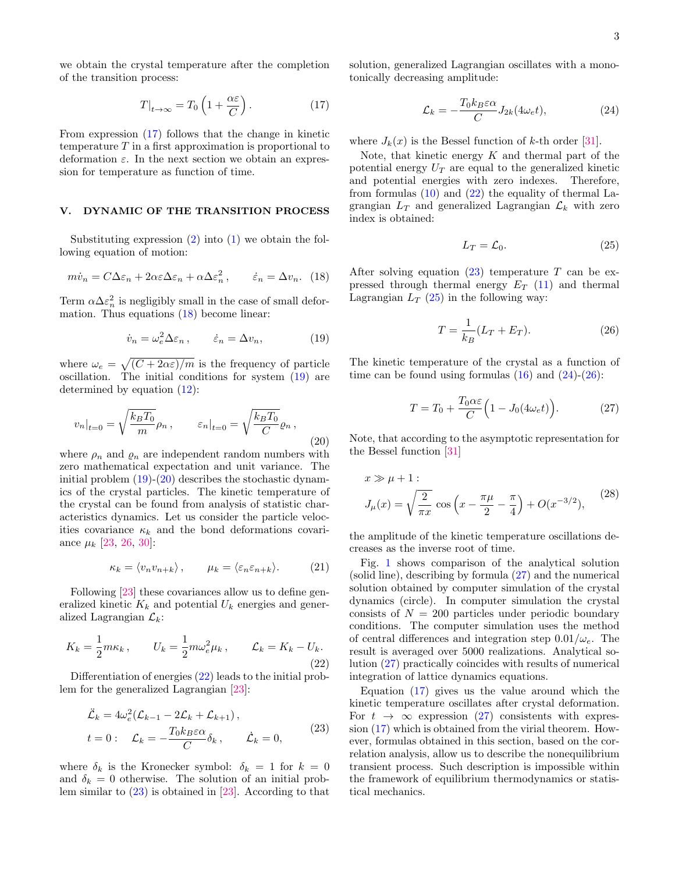we obtain the crystal temperature after the completion of the transition process:

<span id="page-2-0"></span>
$$
T|_{t \to \infty} = T_0 \left( 1 + \frac{\alpha \varepsilon}{C} \right). \tag{17}
$$

From expression [\(17\)](#page-2-0) follows that the change in kinetic temperature  $T$  in a first approximation is proportional to deformation  $\varepsilon$ . In the next section we obtain an expression for temperature as function of time.

# V. DYNAMIC OF THE TRANSITION PROCESS

Substituting expression  $(2)$  into  $(1)$  we obtain the following equation of motion:

<span id="page-2-1"></span>
$$
m\dot{v}_n = C\Delta\varepsilon_n + 2\alpha\varepsilon\Delta\varepsilon_n + \alpha\Delta\varepsilon_n^2, \qquad \dot{\varepsilon}_n = \Delta v_n. \tag{18}
$$

Term  $\alpha \Delta \varepsilon_n^2$  is negligibly small in the case of small deformation. Thus equations [\(18\)](#page-2-1) become linear:

<span id="page-2-2"></span>
$$
\dot{v}_n = \omega_e^2 \Delta \varepsilon_n \,, \qquad \dot{\varepsilon}_n = \Delta v_n, \tag{19}
$$

where  $\omega_e = \sqrt{(C + 2\alpha \varepsilon)/m}$  is the frequency of particle oscillation. The initial conditions for system [\(19\)](#page-2-2) are determined by equation [\(12\)](#page-1-4):

<span id="page-2-3"></span>
$$
v_n|_{t=0} = \sqrt{\frac{k_B T_0}{m}} \rho_n, \qquad \varepsilon_n|_{t=0} = \sqrt{\frac{k_B T_0}{C}} \varrho_n,
$$
\n(20)

where  $\rho_n$  and  $\rho_n$  are independent random numbers with zero mathematical expectation and unit variance. The initial problem  $(19)-(20)$  $(19)-(20)$  $(19)-(20)$  describes the stochastic dynamics of the crystal particles. The kinetic temperature of the crystal can be found from analysis of statistic characteristics dynamics. Let us consider the particle velocities covariance  $\kappa_k$  and the bond deformations covariance  $\mu_k$  [\[23,](#page-4-7) [26,](#page-4-11) [30\]](#page-4-12):

$$
\kappa_k = \langle v_n v_{n+k} \rangle, \qquad \mu_k = \langle \varepsilon_n \varepsilon_{n+k} \rangle. \tag{21}
$$

Following [\[23\]](#page-4-7) these covariances allow us to define generalized kinetic  $K_k$  and potential  $U_k$  energies and generalized Lagrangian  $\mathcal{L}_k$ :

<span id="page-2-4"></span>
$$
K_k = \frac{1}{2} m \kappa_k, \qquad U_k = \frac{1}{2} m \omega_e^2 \mu_k, \qquad \mathcal{L}_k = K_k - U_k.
$$
\n(22)

Differentiation of energies  $(22)$  leads to the initial problem for the generalized Lagrangian [\[23\]](#page-4-7):

<span id="page-2-5"></span>
$$
\ddot{\mathcal{L}}_k = 4\omega_e^2 (\mathcal{L}_{k-1} - 2\mathcal{L}_k + \mathcal{L}_{k+1}),
$$
  
\n
$$
t = 0: \quad \mathcal{L}_k = -\frac{T_0 k_B \varepsilon \alpha}{C} \delta_k, \qquad \dot{\mathcal{L}}_k = 0,
$$
\n(23)

where  $\delta_k$  is the Kronecker symbol:  $\delta_k = 1$  for  $k = 0$ and  $\delta_k = 0$  otherwise. The solution of an initial problem similar to [\(23\)](#page-2-5) is obtained in [\[23\]](#page-4-7). According to that

solution, generalized Lagrangian oscillates with a monotonically decreasing amplitude:

<span id="page-2-7"></span>
$$
\mathcal{L}_k = -\frac{T_0 k_B \varepsilon \alpha}{C} J_{2k}(4\omega_e t),\tag{24}
$$

where  $J_k(x)$  is the Bessel function of k-th order [\[31\]](#page-4-13).

Note, that kinetic energy  $K$  and thermal part of the potential energy  $U_T$  are equal to the generalized kinetic and potential energies with zero indexes. Therefore, from formulas  $(10)$  and  $(22)$  the equality of thermal Lagrangian  $L_T$  and generalized Lagrangian  $\mathcal{L}_k$  with zero index is obtained:

<span id="page-2-6"></span>
$$
L_T = \mathcal{L}_0. \tag{25}
$$

After solving equation  $(23)$  temperature T can be expressed through thermal energy  $E_T$  [\(11\)](#page-1-9) and thermal Lagrangian  $L_T$  [\(25\)](#page-2-6) in the following way:

<span id="page-2-8"></span>
$$
T = \frac{1}{k_B} (L_T + E_T).
$$
 (26)

The kinetic temperature of the crystal as a function of time can be found using formulas  $(16)$  and  $(24)-(26)$  $(24)-(26)$  $(24)-(26)$ :

<span id="page-2-9"></span>
$$
T = T_0 + \frac{T_0 \alpha \varepsilon}{C} \left( 1 - J_0(4\omega_e t) \right). \tag{27}
$$

Note, that according to the asymptotic representation for the Bessel function [\[31\]](#page-4-13)

$$
x \gg \mu + 1:
$$
  
\n
$$
J_{\mu}(x) = \sqrt{\frac{2}{\pi x}} \cos \left( x - \frac{\pi \mu}{2} - \frac{\pi}{4} \right) + O(x^{-3/2}),
$$
\n(28)

the amplitude of the kinetic temperature oscillations decreases as the inverse root of time.

Fig. [1](#page-3-4) shows comparison of the analytical solution (solid line), describing by formula [\(27\)](#page-2-9) and the numerical solution obtained by computer simulation of the crystal dynamics (circle). In computer simulation the crystal consists of  $N = 200$  particles under periodic boundary conditions. The computer simulation uses the method of central differences and integration step  $0.01/\omega_e$ . The result is averaged over 5000 realizations. Analytical solution [\(27\)](#page-2-9) practically coincides with results of numerical integration of lattice dynamics equations.

Equation [\(17\)](#page-2-0) gives us the value around which the kinetic temperature oscillates after crystal deformation. For  $t \to \infty$  expression [\(27\)](#page-2-9) consistents with expression [\(17\)](#page-2-0) which is obtained from the virial theorem. However, formulas obtained in this section, based on the correlation analysis, allow us to describe the nonequilibrium transient process. Such description is impossible within the framework of equilibrium thermodynamics or statistical mechanics.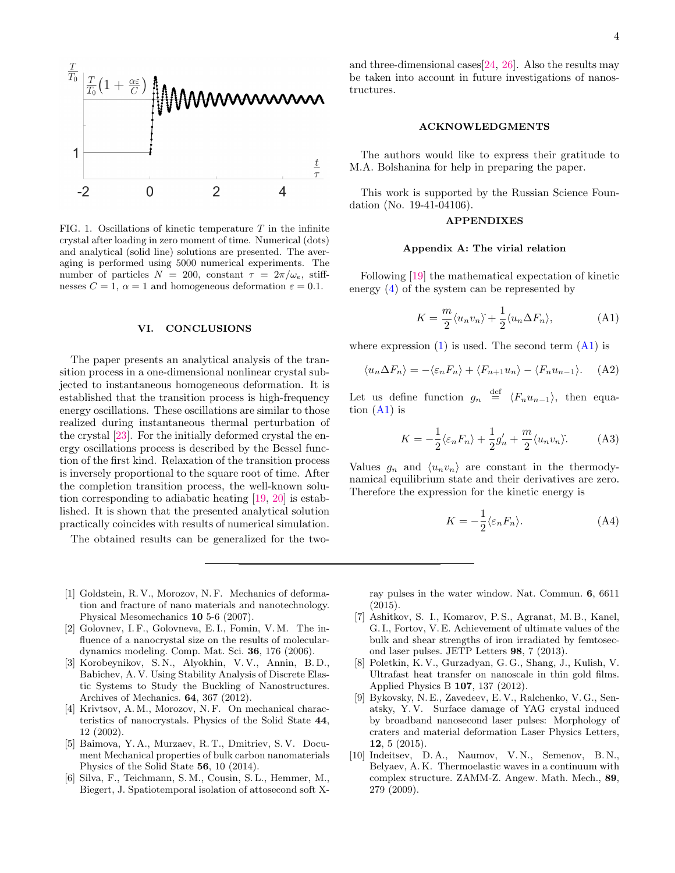

<span id="page-3-4"></span>FIG. 1. Oscillations of kinetic temperature  $T$  in the infinite crystal after loading in zero moment of time. Numerical (dots) and analytical (solid line) solutions are presented. The averaging is performed using 5000 numerical experiments. The number of particles  $N = 200$ , constant  $\tau = 2\pi/\omega_e$ , stiffnesses  $C = 1$ ,  $\alpha = 1$  and homogeneous deformation  $\varepsilon = 0.1$ .

## VI. CONCLUSIONS

The paper presents an analytical analysis of the transition process in a one-dimensional nonlinear crystal subjected to instantaneous homogeneous deformation. It is established that the transition process is high-frequency energy oscillations. These oscillations are similar to those realized during instantaneous thermal perturbation of the crystal [\[23\]](#page-4-7). For the initially deformed crystal the energy oscillations process is described by the Bessel function of the first kind. Relaxation of the transition process is inversely proportional to the square root of time. After the completion transition process, the well-known solution corresponding to adiabatic heating [\[19,](#page-4-14) [20\]](#page-4-4) is established. It is shown that the presented analytical solution practically coincides with results of numerical simulation.

The obtained results can be generalized for the two-

- <span id="page-3-0"></span>[1] Goldstein, R. V., Morozov, N. F. Mechanics of deformation and fracture of nano materials and nanotechnology. Physical Mesomechanics 10 5-6 (2007).
- [2] Golovnev, I. F., Golovneva, E. I., Fomin, V. M. The influence of a nanocrystal size on the results of moleculardynamics modeling. Comp. Mat. Sci. 36, 176 (2006).
- [3] Korobeynikov, S. N., Alyokhin, V. V., Annin, B. D., Babichev, A. V. Using Stability Analysis of Discrete Elastic Systems to Study the Buckling of Nanostructures. Archives of Mechanics. 64, 367 (2012).
- [4] Krivtsov, A. M., Morozov, N. F. On mechanical characteristics of nanocrystals. Physics of the Solid State 44, 12 (2002).
- <span id="page-3-1"></span>[5] Baimova, Y. A., Murzaev, R. T., Dmitriev, S. V. Document Mechanical properties of bulk carbon nanomaterials Physics of the Solid State 56, 10 (2014).
- <span id="page-3-2"></span>[6] Silva, F., Teichmann, S. M., Cousin, S. L., Hemmer, M., Biegert, J. Spatiotemporal isolation of attosecond soft X-

and three-dimensional cases  $[24, 26]$  $[24, 26]$  $[24, 26]$ . Also the results may be taken into account in future investigations of nanostructures.

#### ACKNOWLEDGMENTS

The authors would like to express their gratitude to M.A. Bolshanina for help in preparing the paper.

This work is supported by the Russian Science Foundation (No. 19-41-04106).

## APPENDIXES

# <span id="page-3-3"></span>Appendix A: The virial relation

Following [\[19\]](#page-4-14) the mathematical expectation of kinetic energy [\(4\)](#page-1-10) of the system can be represented by

<span id="page-3-5"></span>
$$
K = \frac{m}{2} \langle u_n v_n \rangle + \frac{1}{2} \langle u_n \Delta F_n \rangle, \tag{A1}
$$

where expression  $(1)$  is used. The second term  $(A1)$  is

$$
\langle u_n \Delta F_n \rangle = -\langle \varepsilon_n F_n \rangle + \langle F_{n+1} u_n \rangle - \langle F_n u_{n-1} \rangle. \tag{A2}
$$

Let us define function  $g_n \stackrel{\text{def}}{=} \langle F_n u_{n-1} \rangle$ , then equation  $(A1)$  is

$$
K = -\frac{1}{2}\langle \varepsilon_n F_n \rangle + \frac{1}{2}g'_n + \frac{m}{2}\langle u_n v_n \rangle.
$$
 (A3)

Values  $g_n$  and  $\langle u_n v_n \rangle$  are constant in the thermodynamical equilibrium state and their derivatives are zero. Therefore the expression for the kinetic energy is

$$
K = -\frac{1}{2} \langle \varepsilon_n F_n \rangle.
$$
 (A4)

ray pulses in the water window. Nat. Commun. 6, 6611 (2015).

- [7] Ashitkov, S. I., Komarov, P. S., Agranat, M. B., Kanel, G. I., Fortov, V. E. Achievement of ultimate values of the bulk and shear strengths of iron irradiated by femtosecond laser pulses. JETP Letters 98, 7 (2013).
- [8] Poletkin, K. V., Gurzadyan, G. G., Shang, J., Kulish, V. Ultrafast heat transfer on nanoscale in thin gold films. Applied Physics B 107, 137 (2012).
- [9] Bykovsky, N. E., Zavedeev, E. V., Ralchenko, V. G., Senatsky, Y. V. Surface damage of YAG crystal induced by broadband nanosecond laser pulses: Morphology of craters and material deformation Laser Physics Letters, 12, 5 (2015).
- [10] Indeitsev, D. A., Naumov, V. N., Semenov, B. N., Belyaev, A. K. Thermoelastic waves in a continuum with complex structure. ZAMM-Z. Angew. Math. Mech., 89, 279 (2009).